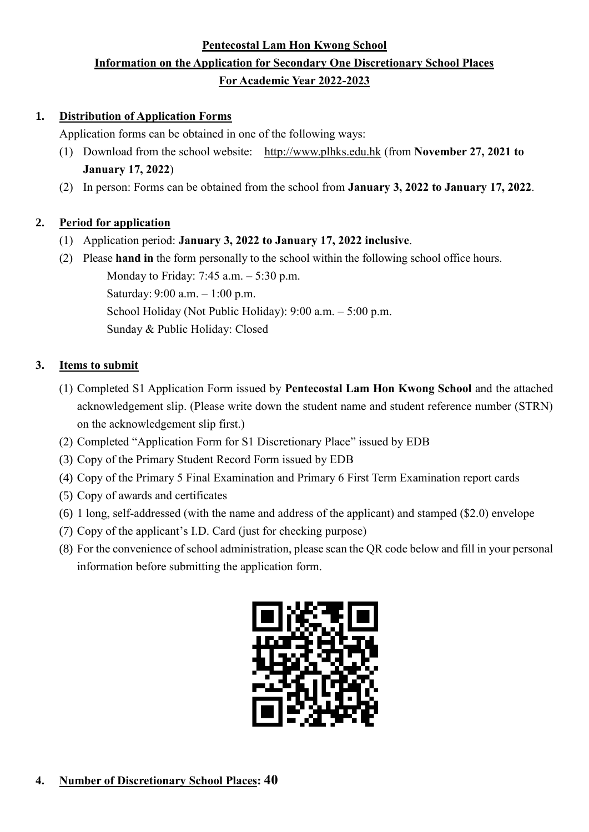# **Pentecostal Lam Hon Kwong School Information on the Application for Secondary One Discretionary School Places For Academic Year 2022-2023**

## **1. Distribution of Application Forms**

Application forms can be obtained in one of the following ways:

- (1) Download from the school website: http://www.plhks.edu.hk (from **November 27, 2021 to January 17, 2022**)
- (2) In person: Forms can be obtained from the school from **January 3, 2022 to January 17, 2022**.

# **2. Period for application**

- (1) Application period: **January 3, 2022 to January 17, 2022 inclusive**.
- (2) Please **hand in** the form personally to the school within the following school office hours. Monday to Friday: 7:45 a.m. – 5:30 p.m. Saturday: 9:00 a.m. – 1:00 p.m. School Holiday (Not Public Holiday): 9:00 a.m. – 5:00 p.m. Sunday & Public Holiday: Closed

# **3. Items to submit**

- (1) Completed S1 Application Form issued by **Pentecostal Lam Hon Kwong School** and the attached acknowledgement slip. (Please write down the student name and student reference number (STRN) on the acknowledgement slip first.)
- (2) Completed "Application Form for S1 Discretionary Place" issued by EDB
- (3) Copy of the Primary Student Record Form issued by EDB
- (4) Copy of the Primary 5 Final Examination and Primary 6 First Term Examination report cards
- (5) Copy of awards and certificates
- (6) 1 long, self-addressed (with the name and address of the applicant) and stamped (\$2.0) envelope
- (7) Copy of the applicant's I.D. Card (just for checking purpose)
- (8) For the convenience of school administration, please scan the QR code below and fill in your personal information before submitting the application form.

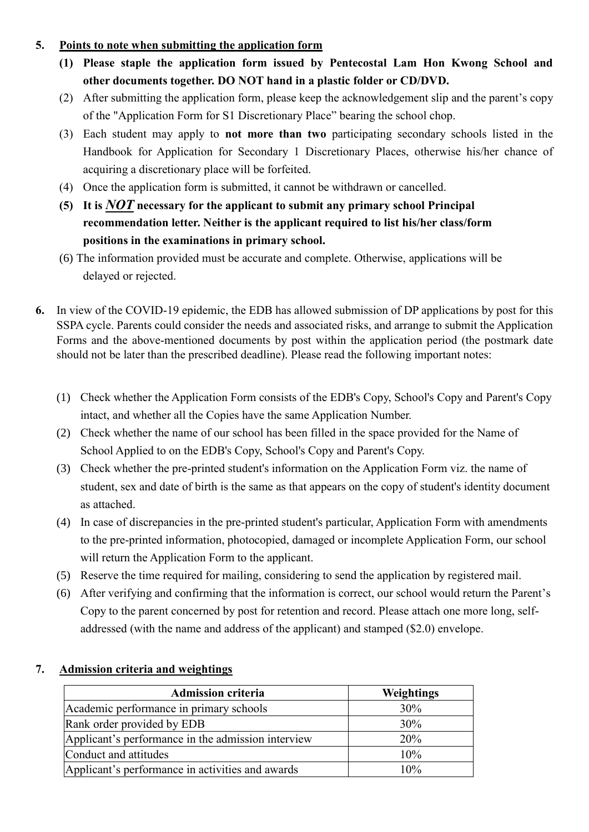## **5. Points to note when submitting the application form**

- **(1) Please staple the application form issued by Pentecostal Lam Hon Kwong School and other documents together. DO NOT hand in a plastic folder or CD/DVD.**
- (2) After submitting the application form, please keep the acknowledgement slip and the parent's copy of the "Application Form for S1 Discretionary Place" bearing the school chop.
- (3) Each student may apply to **not more than two** participating secondary schools listed in the Handbook for Application for Secondary 1 Discretionary Places, otherwise his/her chance of acquiring a discretionary place will be forfeited.
- (4) Once the application form is submitted, it cannot be withdrawn or cancelled.
- **(5) It is** *NOT* **necessary for the applicant to submit any primary school Principal recommendation letter. Neither is the applicant required to list his/her class/form positions in the examinations in primary school.**
- (6) The information provided must be accurate and complete. Otherwise, applications will be delayed or rejected.
- **6.** In view of the COVID-19 epidemic, the EDB has allowed submission of DP applications by post for this SSPA cycle. Parents could consider the needs and associated risks, and arrange to submit the Application Forms and the above-mentioned documents by post within the application period (the postmark date should not be later than the prescribed deadline). Please read the following important notes:
	- (1) Check whether the Application Form consists of the EDB's Copy, School's Copy and Parent's Copy intact, and whether all the Copies have the same Application Number.
	- (2) Check whether the name of our school has been filled in the space provided for the Name of School Applied to on the EDB's Copy, School's Copy and Parent's Copy.
	- (3) Check whether the pre-printed student's information on the Application Form viz. the name of student, sex and date of birth is the same as that appears on the copy of student's identity document as attached.
	- (4) In case of discrepancies in the pre-printed student's particular, Application Form with amendments to the pre-printed information, photocopied, damaged or incomplete Application Form, our school will return the Application Form to the applicant.
	- (5) Reserve the time required for mailing, considering to send the application by registered mail.
	- (6) After verifying and confirming that the information is correct, our school would return the Parent's Copy to the parent concerned by post for retention and record. Please attach one more long, selfaddressed (with the name and address of the applicant) and stamped (\$2.0) envelope.

| <b>Admission criteria</b>                          | Weightings |
|----------------------------------------------------|------------|
| Academic performance in primary schools            | 30%        |
| Rank order provided by EDB                         | 30%        |
| Applicant's performance in the admission interview | 20%        |
| Conduct and attitudes                              | 10%        |
| Applicant's performance in activities and awards   | 10%        |

## **7. Admission criteria and weightings**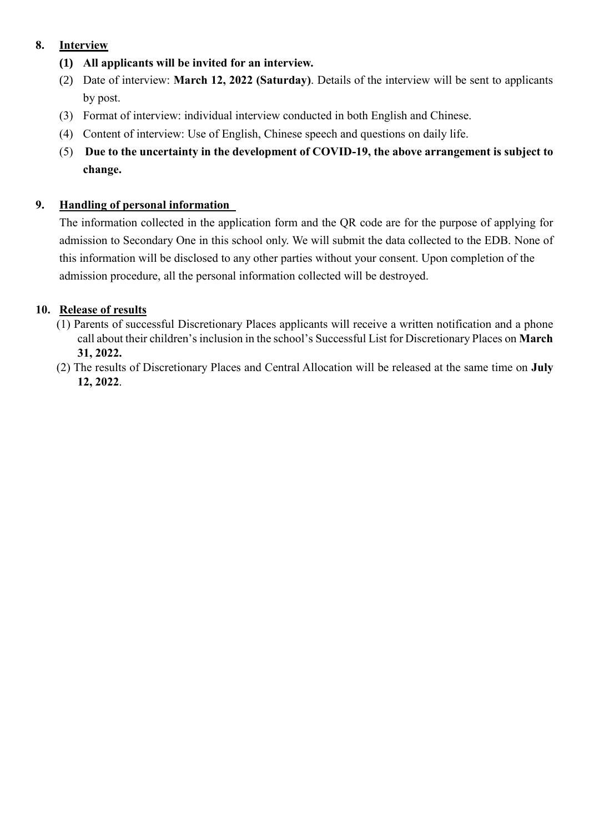## **8. Interview**

- **(1) All applicants will be invited for an interview.**
- (2) Date of interview: **March 12, 2022 (Saturday)**. Details of the interview will be sent to applicants by post.
- (3) Format of interview: individual interview conducted in both English and Chinese.
- (4) Content of interview: Use of English, Chinese speech and questions on daily life.
- (5) **Due to the uncertainty in the development of COVID-19, the above arrangement is subject to change.**

## **9. Handling of personal information**

The information collected in the application form and the QR code are for the purpose of applying for admission to Secondary One in this school only. We will submit the data collected to the EDB. None of this information will be disclosed to any other parties without your consent. Upon completion of the admission procedure, all the personal information collected will be destroyed.

## **10. Release of results**

- (1) Parents of successful Discretionary Places applicants will receive a written notification and a phone call about their children's inclusion in the school's Successful List for Discretionary Places on **March 31, 2022.**
- (2) The results of Discretionary Places and Central Allocation will be released at the same time on **July 12, 2022**.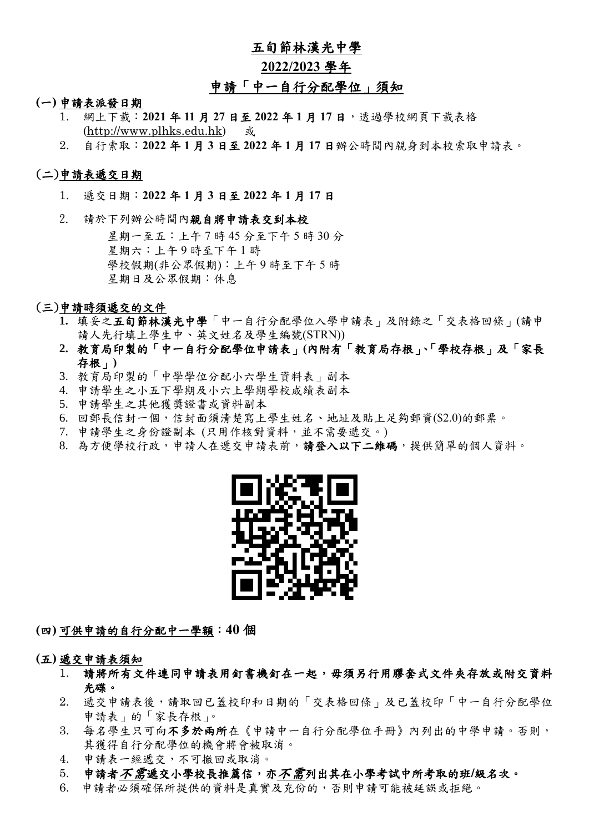## 五旬節林漢光中學

#### **2022/2023** 學年

# 申請「中一自行分配學位」須知

#### **(**一**)** 申請表派發日期

- 1. 網上下載:**2021** 年 **11** 月 **27** 日至 **2022** 年 **1** 月 **17** 日,透過學校網頁下載表格 [\(http://www.plhks.edu.hk\)](http://www.plhks.edu.hk/) 或
- 2. 自行索取:**2022** 年 **1** 月 **3** 日至 **2022** 年 **1** 月 **17** 日辦公時間內親身到本校索取申請表。

#### (二)申請表遞交日期

- 1. 遞交日期:**2022** 年 **1** 月 **3** 日至 **2022** 年 **1** 月 **17** 日
- 2. 請於下列辦公時間內親自將申請表交到本校

星期一至五:上午 7 時 45 分至下午 5 時 30 分 星期六:上午 9 時至下午 1 時 學校假期(非公眾假期):上午 9 時至下午 5 時 星期日及公眾假期:休息

#### (三)申請時須遞交的文件

- **1.** 填妥之五旬節林漢光中學「中一自行分配學位入學申請表」及附錄之「交表格回條」(請申 請人先行填上學生中、英文姓名及學生編號(STRN))
- **2.** 教育局印製的「中一自行分配學位申請表」**(**內附有「教育局存根」、「學校存根」及「家長 存根」**)**
- 3. 教育局印製的「中學學位分配小六學生資料表」副本
- 4. 申請學生之小五下學期及小六上學期學校成績表副本
- 5. 申請學生之其他獲獎證書或資料副本
- 6. 回郵長信封一個,信封面須清楚寫上學生姓名、地址及貼上足夠郵資(\$2.0)的郵票。
- 7. 申請學生之身份證副本 (只用作核對資料,並不需要遞交。)
- 8. 為方便學校行政,申請人在遞交申請表前,請登入以下二維碼,提供簡單的個人資料。



**(**四**)** 可供申請的自行分配中一學額:**40** 個

**(**五**)** 遞交申請表須知

- 1. 請將所有文件連同申請表用釘書機釘在一起,毋須另行用膠套式文件夾存放或附交資料 光碟。
- 2. 遞交申請表後,請取回已蓋校印和日期的「交表格回條」及已蓋校印「中一自行分配學位 申請表」的「家長存根」。
- 3. 每名學生只可向不多於兩所在《申請中一自行分配學位手冊》內列出的中學申請。否則, 其獲得自行分配學位的機會將會被取消。
- 4. 申請表一經遞交,不可撤回或取消。
- 5. 申請者不需遞交小學校長推薦信,亦不需列出其在小學考試中所考取的班**/**級名次。
- 6. 申請者必須確保所提供的資料是真實及充份的,否則申請可能被延誤或拒絕。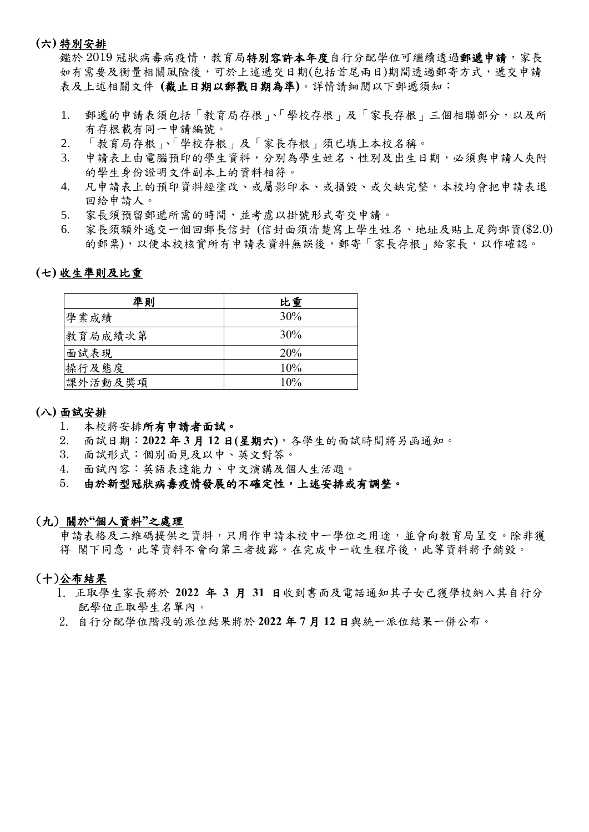#### **(**六**)** 特別安排

鑑於 2019 冠狀病毒病疫情,教育局特別容許本年度自行分配學位可繼續透過郵遞申請,家長 如有需要及衡量相關風險後,可於上述遞交日期(包括首尾兩日)期間透過郵寄方式,遞交申請 表及上述相關文件 **(**截止日期以郵戳日期為準**)**。詳情請細閱以下郵遞須知:

- 1. 郵遞的申請表須包括「教育局存根」、「學校存根」及「家長存根」三個相聯部分,以及所 有存根載有同一申請編號。
- 2. 「教育局存根」、「學校存根」及「家長存根」須已填上本校名稱。
- 3. 申請表上由電腦預印的學生資料,分別為學生姓名、性別及出生日期,必須與申請人夾附 的學生身份證明文件副本上的資料相符。
- 4. 凡申請表上的預印資料經塗改、或屬影印本、或損毀、或欠缺完整,本校均會把申請表退 回給申請人。
- 5. 家長須預留郵遞所需的時間,並考慮以掛號形式寄交申請。
- 6. 家長須額外遞交一個回郵長信封 (信封面須清楚寫上學生姓名、地址及貼上足夠郵資(\$2.0) 的郵票),以便本校核實所有申請表資料無誤後,郵寄「家長存根」給家長,以作確認。

#### **(**七**)** 收生準則及比重

| 準則      | 比重  |
|---------|-----|
| 學業成績    | 30% |
| 教育局成績次第 | 30% |
| 面試表現    | 20% |
| 操行及態度   | 10% |
| 課外活動及獎項 | 10% |

#### **(**八**)** 面試安排

- 1. 本校將安排所有申請者面試。
- 2. 面試日期:**2022** 年 **3** 月 **12** 日**(**星期六**)**,各學生的面試時間將另函通知。
- 3. 面試形式:個別面見及以中、英文對答。
- 4. 面試內容:英語表達能力、中文演講及個人生活題。

### 5. 由於新型冠狀病毒疫情發展的不確定性,上述安排或有調整。

#### (九) 關於**"**個人資料**"**之處理

申請表格及二維碼提供之資料,只用作申請本校中一學位之用途,並會向教育局呈交。除非獲 得 閣下同意,此等資料不會向第三者披露。在完成中一收生程序後,此等資料將予銷毀。

#### (十)公布結果

- 1. 正取學生家長將於 **2022** 年 **3** 月 **31** 日收到書面及電話通知其子女已獲學校納入其自行分 配學位正取學生名單內。
- 2. 自行分配學位階段的派位結果將於 **2022** 年 **7** 月 **12** 日與統一派位結果一併公布。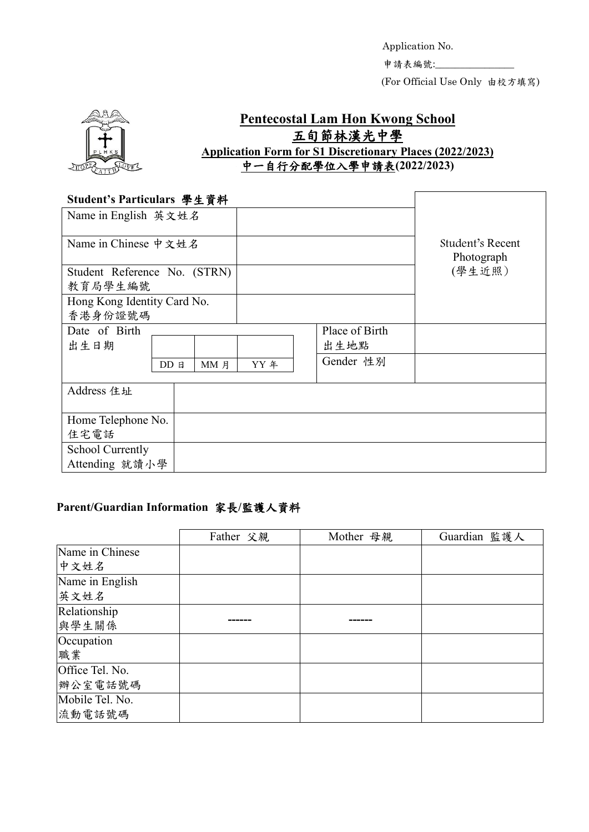Application No. 申請表編號:

Γ

(For Official Use Only 由校方填寫)



# **Pentecostal Lam Hon Kwong School** 五旬節林漢光中學 **Application Form for S1 Discretionary Places (2022/2023)** 中一自行分配學位入學申請表**(2022/2023)**

#### **Student's Particulars** 學生資料

| $\frac{1}{2}$ $\frac{1}{2}$ $\frac{1}{2}$ $\frac{1}{2}$ $\frac{1}{2}$ $\frac{1}{2}$ $\frac{1}{2}$ $\frac{1}{2}$ $\frac{1}{2}$ $\frac{1}{2}$ $\frac{1}{2}$ $\frac{1}{2}$ $\frac{1}{2}$ $\frac{1}{2}$ $\frac{1}{2}$ $\frac{1}{2}$ $\frac{1}{2}$ $\frac{1}{2}$ $\frac{1}{2}$ $\frac{1}{2}$ $\frac{1}{2}$ $\frac{1}{2}$<br>Name in English 英文姓名 |          |      |                |                                |        |
|---------------------------------------------------------------------------------------------------------------------------------------------------------------------------------------------------------------------------------------------------------------------------------------------------------------------------------------------|----------|------|----------------|--------------------------------|--------|
| Name in Chinese 中文姓名                                                                                                                                                                                                                                                                                                                        |          |      |                | Student's Recent<br>Photograph |        |
| Student Reference No. (STRN)                                                                                                                                                                                                                                                                                                                |          |      |                |                                | (學生近照) |
| 教育局學生編號                                                                                                                                                                                                                                                                                                                                     |          |      |                |                                |        |
| Hong Kong Identity Card No.                                                                                                                                                                                                                                                                                                                 |          |      |                |                                |        |
| 香港身份證號碼                                                                                                                                                                                                                                                                                                                                     |          |      |                |                                |        |
| Date of Birth                                                                                                                                                                                                                                                                                                                               |          |      | Place of Birth |                                |        |
| 出生日期                                                                                                                                                                                                                                                                                                                                        |          |      |                | 出生地點                           |        |
|                                                                                                                                                                                                                                                                                                                                             | $DD$ $B$ | MM 月 | YY 年           | Gender 性別                      |        |
| Address 住址                                                                                                                                                                                                                                                                                                                                  |          |      |                |                                |        |
| Home Telephone No.                                                                                                                                                                                                                                                                                                                          |          |      |                |                                |        |
| 住宅電話                                                                                                                                                                                                                                                                                                                                        |          |      |                |                                |        |
| <b>School Currently</b>                                                                                                                                                                                                                                                                                                                     |          |      |                |                                |        |
| Attending 就讀小學                                                                                                                                                                                                                                                                                                                              |          |      |                |                                |        |

# **Parent/Guardian Information** 家長**/**監護人資料

|                 | Father 父親 | Mother 母親 | Guardian 監護人 |
|-----------------|-----------|-----------|--------------|
| Name in Chinese |           |           |              |
| 中文姓名            |           |           |              |
| Name in English |           |           |              |
| 英文姓名            |           |           |              |
| Relationship    |           |           |              |
| 與學生關係           |           |           |              |
| Occupation      |           |           |              |
| 職業              |           |           |              |
| Office Tel. No. |           |           |              |
| 辦公室電話號碼         |           |           |              |
| Mobile Tel. No. |           |           |              |
| 流動電話號碼          |           |           |              |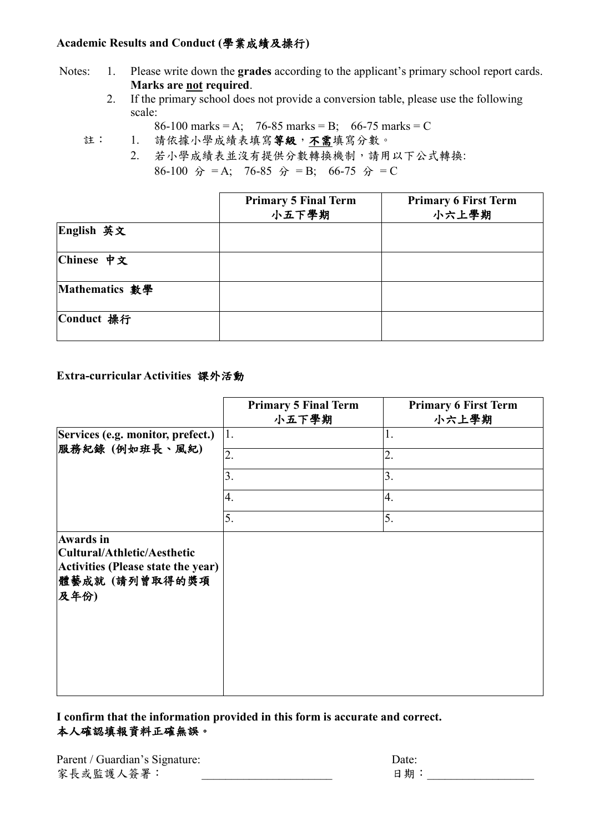### **Academic Results and Conduct (**學業成績及操行**)**

- Notes: 1. Please write down the **grades** according to the applicant's primary school report cards. **Marks are not required**.
	- 2. If the primary school does not provide a conversion table, please use the following scale:

86-100 marks = A; 76-85 marks = B; 66-75 marks = C

- 註: 1. 請依據小學成績表填寫等級,不需填寫分數。
	- 2. 若小學成績表並沒有提供分數轉換機制,請用以下公式轉換: 86-100  $\hat{B} = A$ ; 76-85  $\hat{B} = B$ ; 66-75  $\hat{B} = C$

|                | <b>Primary 5 Final Term</b><br>小五下學期 | <b>Primary 6 First Term</b><br>小六上學期 |
|----------------|--------------------------------------|--------------------------------------|
| English 英文     |                                      |                                      |
| Chinese 中文     |                                      |                                      |
| Mathematics 數學 |                                      |                                      |
| Conduct 操行     |                                      |                                      |

### **Extra-curricular Activities** 課外活動

|                                                                                                                | <b>Primary 5 Final Term</b><br>小五下學期 | <b>Primary 6 First Term</b><br>小六上學期 |
|----------------------------------------------------------------------------------------------------------------|--------------------------------------|--------------------------------------|
| Services (e.g. monitor, prefect.)<br>服務紀錄 (例如班長、風紀)                                                            | 1.                                   | 1.                                   |
|                                                                                                                | $\overline{2}$ .                     | 2.                                   |
|                                                                                                                | 3.                                   | 3.                                   |
|                                                                                                                | 4.                                   | 4.                                   |
|                                                                                                                | 5.                                   | 5.                                   |
| <b>Awards</b> in<br>Cultural/Athletic/Aesthetic<br>Activities (Please state the year)<br>體藝成就(請列曾取得的獎項<br>及年份) |                                      |                                      |

### **I confirm that the information provided in this form is accurate and correct.**  本人確認填報資料正確無誤。

| Parent / Guardian's Signature: | Date: |
|--------------------------------|-------|
| 家長或監護人簽署:                      | 日期    |